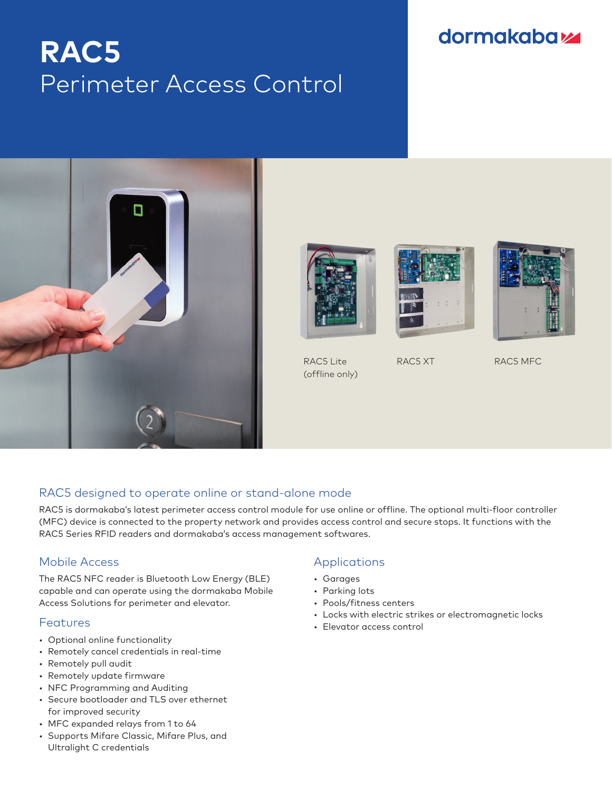# **RAC5** Perimeter Access Control

## **dormakabazz**





RAC5 Lite (offline only)





RAC5 XT RAC5 MFC

### RAC5 designed to operate online or stand-alone mode

RAC5 is dormakaba's latest perimeter access control module for use online or offline. The optional multi-floor controller (MFC) device is connected to the property network and provides access control and secure stops. It functions with the RAC5 Series RFID readers and dormakaba's access management softwares.

#### Mobile Access

The RAC5 NFC reader is Bluetooth Low Energy (BLE) capable and can operate using the dormakaba Mobile Access Solutions for perimeter and elevator.

#### **Features**

- Optional online functionality
- Remotely cancel credentials in real-time
- Remotely pull audit
- Remotely update firmware
- NFC Programming and Auditing
- Secure bootloader and TLS over ethernet for improved security
- MFC expanded relays from 1 to 64
- Supports Mifare Classic, Mifare Plus, and Ultralight C credentials

#### Applications

- Garages
- Parking lots
- Pools/fitness centers
- Locks with electric strikes or electromagnetic locks
- Elevator access control